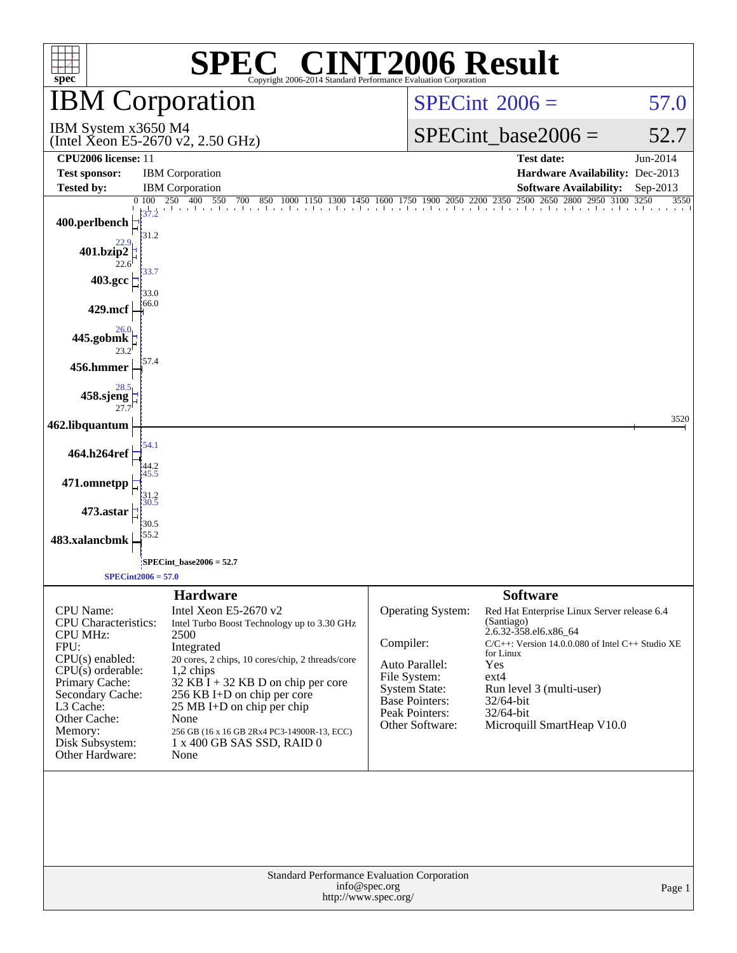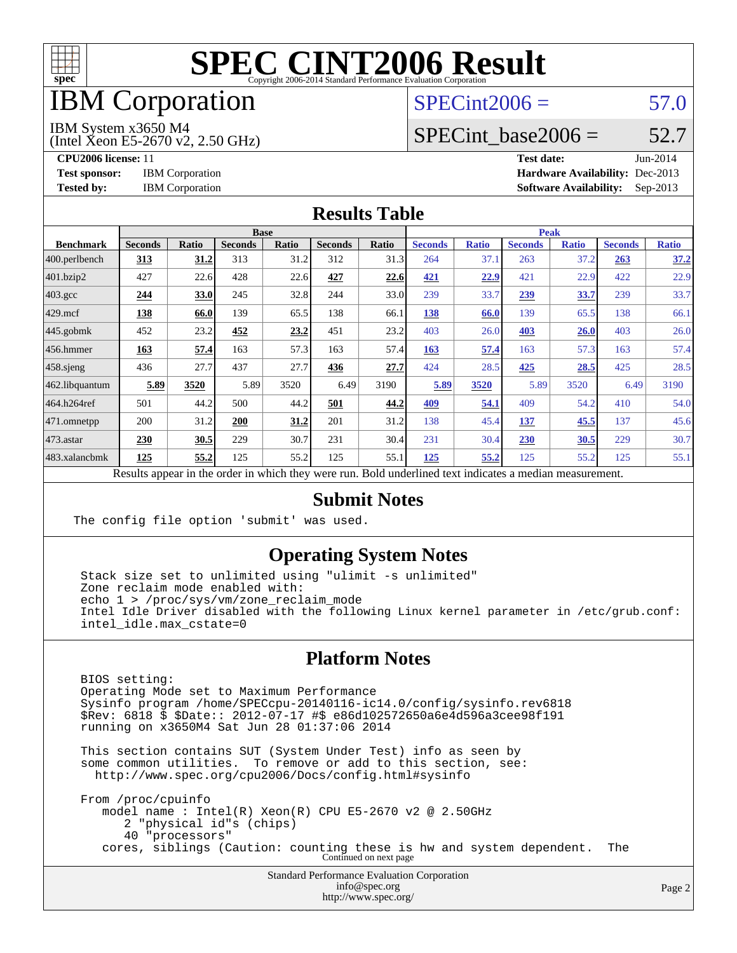

# IBM Corporation

### $SPECint2006 = 57.0$  $SPECint2006 = 57.0$

IBM System x3650 M4

(Intel Xeon E5-2670 v2, 2.50 GHz)

SPECint base2006 =  $52.7$ 

**[CPU2006 license:](http://www.spec.org/auto/cpu2006/Docs/result-fields.html#CPU2006license)** 11 **[Test date:](http://www.spec.org/auto/cpu2006/Docs/result-fields.html#Testdate)** Jun-2014 **[Test sponsor:](http://www.spec.org/auto/cpu2006/Docs/result-fields.html#Testsponsor)** IBM Corporation **[Hardware Availability:](http://www.spec.org/auto/cpu2006/Docs/result-fields.html#HardwareAvailability)** Dec-2013 **[Tested by:](http://www.spec.org/auto/cpu2006/Docs/result-fields.html#Testedby)** IBM Corporation **[Software Availability:](http://www.spec.org/auto/cpu2006/Docs/result-fields.html#SoftwareAvailability)** Sep-2013

#### **[Results Table](http://www.spec.org/auto/cpu2006/Docs/result-fields.html#ResultsTable)**

|                    | <b>Base</b>                                                                                                                                                                                                                                     |              |                |       |                |       | <b>Peak</b>    |              |                |              |                |              |
|--------------------|-------------------------------------------------------------------------------------------------------------------------------------------------------------------------------------------------------------------------------------------------|--------------|----------------|-------|----------------|-------|----------------|--------------|----------------|--------------|----------------|--------------|
| <b>Benchmark</b>   | <b>Seconds</b>                                                                                                                                                                                                                                  | <b>Ratio</b> | <b>Seconds</b> | Ratio | <b>Seconds</b> | Ratio | <b>Seconds</b> | <b>Ratio</b> | <b>Seconds</b> | <b>Ratio</b> | <b>Seconds</b> | <b>Ratio</b> |
| 400.perlbench      | 313                                                                                                                                                                                                                                             | 31.2         | 313            | 31.2  | 312            | 31.3  | 264            | 37.1         | 263            | 37.2         | 263            | 37.2         |
| 401.bzip2          | 427                                                                                                                                                                                                                                             | 22.6         | 428            | 22.6  | 427            | 22.6  | 421            | 22.9         | 421            | 22.9         | 422            | 22.9         |
| $403.\mathrm{gcc}$ | 244                                                                                                                                                                                                                                             | 33.0         | 245            | 32.8  | 244            | 33.0  | 239            | 33.7         | 239            | 33.7         | 239            | 33.7         |
| $429$ .mcf         | 138                                                                                                                                                                                                                                             | 66.0         | 139            | 65.5  | 138            | 66.1  | 138            | 66.0         | 139            | 65.5         | 138            | 66.1         |
| $445$ .gobmk       | 452                                                                                                                                                                                                                                             | 23.2         | 452            | 23.2  | 451            | 23.2  | 403            | 26.0         | 403            | 26.0         | 403            | 26.0         |
| $456.$ hmmer       | 163                                                                                                                                                                                                                                             | 57.4         | 163            | 57.3  | 163            | 57.4  | 163            | 57.4         | 163            | 57.3         | 163            | 57.4         |
| $458$ .sjeng       | 436                                                                                                                                                                                                                                             | 27.7         | 437            | 27.7  | 436            | 27.7  | 424            | 28.5         | 425            | 28.5         | 425            | 28.5         |
| 462.libquantum     | 5.89                                                                                                                                                                                                                                            | 3520         | 5.89           | 3520  | 6.49           | 3190  | 5.89           | 3520         | 5.89           | 3520         | 6.49           | 3190         |
| 464.h264ref        | 501                                                                                                                                                                                                                                             | 44.2         | 500            | 44.2  | 501            | 44.2  | 409            | 54.1         | 409            | 54.2         | 410            | 54.0         |
| 471.omnetpp        | 200                                                                                                                                                                                                                                             | 31.2         | 200            | 31.2  | 201            | 31.2  | 138            | 45.4         | 137            | 45.5         | 137            | 45.6         |
| $ 473$ . astar     | 230                                                                                                                                                                                                                                             | 30.5         | 229            | 30.7  | 231            | 30.4  | 231            | 30.4         | 230            | 30.5         | 229            | 30.7         |
| 483.xalancbmk      | 125                                                                                                                                                                                                                                             | 55.2         | 125            | 55.2  | 125            | 55.1  | 125            | 55.2         | 125            | 55.2         | 125            | 55.1         |
|                    | 1.3.1.41<br>$\mathbf{D} = \mathbf{1}$<br>$\overline{1}$<br>$-11 - 12$<br>$\mathbf{D}$ and $\mathbf{D}$ and $\mathbf{D}$ and $\mathbf{D}$ and $\mathbf{D}$ and $\mathbf{D}$ and $\mathbf{D}$ and $\mathbf{D}$ and $\mathbf{D}$<br>$-11 - 11 - 1$ |              |                |       |                |       |                |              |                |              |                |              |

Results appear in the [order in which they were run.](http://www.spec.org/auto/cpu2006/Docs/result-fields.html#RunOrder) Bold underlined text [indicates a median measurement.](http://www.spec.org/auto/cpu2006/Docs/result-fields.html#Median)

### **[Submit Notes](http://www.spec.org/auto/cpu2006/Docs/result-fields.html#SubmitNotes)**

The config file option 'submit' was used.

### **[Operating System Notes](http://www.spec.org/auto/cpu2006/Docs/result-fields.html#OperatingSystemNotes)**

 Stack size set to unlimited using "ulimit -s unlimited" Zone reclaim mode enabled with: echo 1 > /proc/sys/vm/zone reclaim mode Intel Idle Driver disabled with the following Linux kernel parameter in /etc/grub.conf: intel\_idle.max\_cstate=0

### **[Platform Notes](http://www.spec.org/auto/cpu2006/Docs/result-fields.html#PlatformNotes)**

 BIOS setting: Operating Mode set to Maximum Performance Sysinfo program /home/SPECcpu-20140116-ic14.0/config/sysinfo.rev6818 \$Rev: 6818 \$ \$Date:: 2012-07-17 #\$ e86d102572650a6e4d596a3cee98f191 running on x3650M4 Sat Jun 28 01:37:06 2014

 This section contains SUT (System Under Test) info as seen by some common utilities. To remove or add to this section, see: <http://www.spec.org/cpu2006/Docs/config.html#sysinfo>

 From /proc/cpuinfo model name : Intel(R) Xeon(R) CPU E5-2670 v2 @ 2.50GHz 2 "physical id"s (chips) 40 "processors" cores, siblings (Caution: counting these is hw and system dependent. The Continued on next page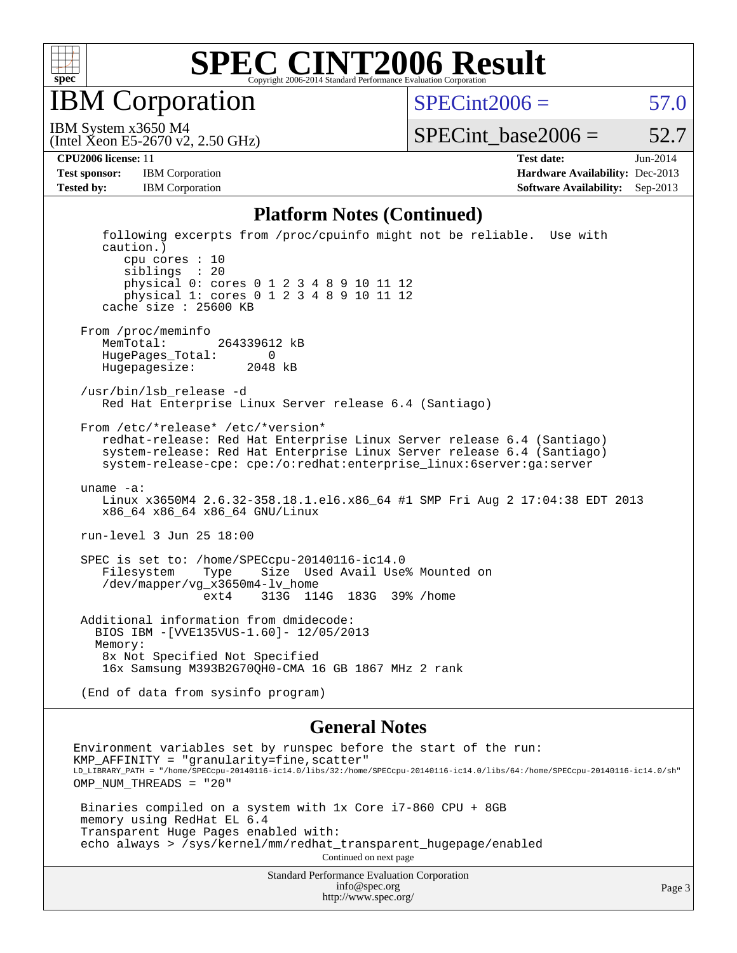

IBM Corporation

 $SPECint2006 = 57.0$  $SPECint2006 = 57.0$ 

(Intel Xeon E5-2670 v2, 2.50 GHz) IBM System x3650 M4

SPECint base2006 =  $52.7$ 

**[CPU2006 license:](http://www.spec.org/auto/cpu2006/Docs/result-fields.html#CPU2006license)** 11 **[Test date:](http://www.spec.org/auto/cpu2006/Docs/result-fields.html#Testdate)** Jun-2014

**[Test sponsor:](http://www.spec.org/auto/cpu2006/Docs/result-fields.html#Testsponsor)** IBM Corporation **[Hardware Availability:](http://www.spec.org/auto/cpu2006/Docs/result-fields.html#HardwareAvailability)** Dec-2013

**[Tested by:](http://www.spec.org/auto/cpu2006/Docs/result-fields.html#Testedby)** IBM Corporation **[Software Availability:](http://www.spec.org/auto/cpu2006/Docs/result-fields.html#SoftwareAvailability)** Sep-2013

#### **[Platform Notes \(Continued\)](http://www.spec.org/auto/cpu2006/Docs/result-fields.html#PlatformNotes)**

 following excerpts from /proc/cpuinfo might not be reliable. Use with caution.) cpu cores : 10 siblings : 20 physical 0: cores 0 1 2 3 4 8 9 10 11 12 physical 1: cores 0 1 2 3 4 8 9 10 11 12 cache size : 25600 KB From /proc/meminfo MemTotal: 264339612 kB HugePages\_Total: 0 Hugepagesize: 2048 kB /usr/bin/lsb\_release -d Red Hat Enterprise Linux Server release 6.4 (Santiago) From /etc/\*release\* /etc/\*version\* redhat-release: Red Hat Enterprise Linux Server release 6.4 (Santiago) system-release: Red Hat Enterprise Linux Server release 6.4 (Santiago) system-release-cpe: cpe:/o:redhat:enterprise\_linux:6server:ga:server uname -a: Linux x3650M4 2.6.32-358.18.1.el6.x86\_64 #1 SMP Fri Aug 2 17:04:38 EDT 2013 x86\_64 x86\_64 x86\_64 GNU/Linux run-level 3 Jun 25 18:00 SPEC is set to: /home/SPECcpu-20140116-ic14.0 Filesystem Type Size Used Avail Use% Mounted on /dev/mapper/vg\_x3650m4-lv\_home ext4 313G 114G 183G 39% /home Additional information from dmidecode: BIOS IBM -[VVE135VUS-1.60]- 12/05/2013 Memory: 8x Not Specified Not Specified 16x Samsung M393B2G70QH0-CMA 16 GB 1867 MHz 2 rank (End of data from sysinfo program)

#### **[General Notes](http://www.spec.org/auto/cpu2006/Docs/result-fields.html#GeneralNotes)**

Environment variables set by runspec before the start of the run: KMP  $AFFINITY = "granularity=fine, scatter"$ LD\_LIBRARY\_PATH = "/home/SPECcpu-20140116-ic14.0/libs/32:/home/SPECcpu-20140116-ic14.0/libs/64:/home/SPECcpu-20140116-ic14.0/sh" OMP NUM THREADS = "20" Binaries compiled on a system with 1x Core i7-860 CPU + 8GB memory using RedHat EL 6.4 Transparent Huge Pages enabled with: echo always > /sys/kernel/mm/redhat\_transparent\_hugepage/enabled Continued on next page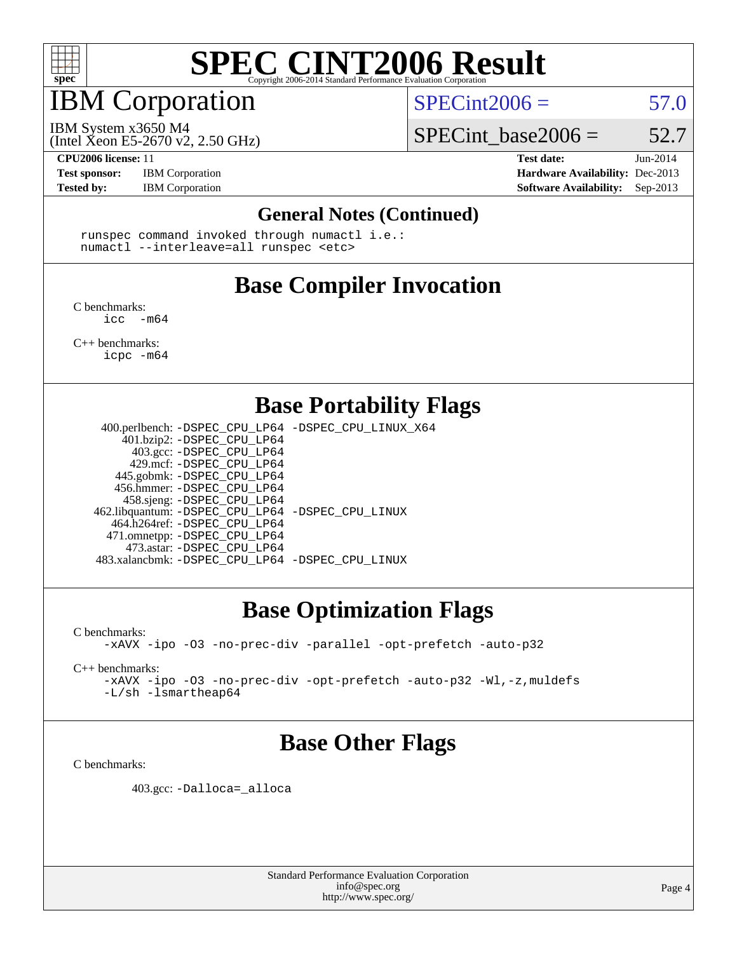

## IBM Corporation

 $SPECint2006 = 57.0$  $SPECint2006 = 57.0$ 

(Intel Xeon E5-2670 v2, 2.50 GHz) IBM System x3650 M4

SPECint base2006 =  $52.7$ 

**[Test sponsor:](http://www.spec.org/auto/cpu2006/Docs/result-fields.html#Testsponsor)** IBM Corporation **[Hardware Availability:](http://www.spec.org/auto/cpu2006/Docs/result-fields.html#HardwareAvailability)** Dec-2013

**[CPU2006 license:](http://www.spec.org/auto/cpu2006/Docs/result-fields.html#CPU2006license)** 11 **[Test date:](http://www.spec.org/auto/cpu2006/Docs/result-fields.html#Testdate)** Jun-2014 [Tested by:](http://www.spec.org/auto/cpu2006/Docs/result-fields.html#Testedby) IBM Corporation **[Software Availability:](http://www.spec.org/auto/cpu2006/Docs/result-fields.html#SoftwareAvailability)** Sep-2013

#### **[General Notes \(Continued\)](http://www.spec.org/auto/cpu2006/Docs/result-fields.html#GeneralNotes)**

 runspec command invoked through numactl i.e.: numactl --interleave=all runspec <etc>

# **[Base Compiler Invocation](http://www.spec.org/auto/cpu2006/Docs/result-fields.html#BaseCompilerInvocation)**

[C benchmarks](http://www.spec.org/auto/cpu2006/Docs/result-fields.html#Cbenchmarks):  $\text{icc}$  -m64

[C++ benchmarks:](http://www.spec.org/auto/cpu2006/Docs/result-fields.html#CXXbenchmarks) [icpc -m64](http://www.spec.org/cpu2006/results/res2014q3/cpu2006-20140702-30294.flags.html#user_CXXbase_intel_icpc_64bit_fc66a5337ce925472a5c54ad6a0de310)

### **[Base Portability Flags](http://www.spec.org/auto/cpu2006/Docs/result-fields.html#BasePortabilityFlags)**

 400.perlbench: [-DSPEC\\_CPU\\_LP64](http://www.spec.org/cpu2006/results/res2014q3/cpu2006-20140702-30294.flags.html#b400.perlbench_basePORTABILITY_DSPEC_CPU_LP64) [-DSPEC\\_CPU\\_LINUX\\_X64](http://www.spec.org/cpu2006/results/res2014q3/cpu2006-20140702-30294.flags.html#b400.perlbench_baseCPORTABILITY_DSPEC_CPU_LINUX_X64) 401.bzip2: [-DSPEC\\_CPU\\_LP64](http://www.spec.org/cpu2006/results/res2014q3/cpu2006-20140702-30294.flags.html#suite_basePORTABILITY401_bzip2_DSPEC_CPU_LP64) 403.gcc: [-DSPEC\\_CPU\\_LP64](http://www.spec.org/cpu2006/results/res2014q3/cpu2006-20140702-30294.flags.html#suite_basePORTABILITY403_gcc_DSPEC_CPU_LP64) 429.mcf: [-DSPEC\\_CPU\\_LP64](http://www.spec.org/cpu2006/results/res2014q3/cpu2006-20140702-30294.flags.html#suite_basePORTABILITY429_mcf_DSPEC_CPU_LP64) 445.gobmk: [-DSPEC\\_CPU\\_LP64](http://www.spec.org/cpu2006/results/res2014q3/cpu2006-20140702-30294.flags.html#suite_basePORTABILITY445_gobmk_DSPEC_CPU_LP64) 456.hmmer: [-DSPEC\\_CPU\\_LP64](http://www.spec.org/cpu2006/results/res2014q3/cpu2006-20140702-30294.flags.html#suite_basePORTABILITY456_hmmer_DSPEC_CPU_LP64) 458.sjeng: [-DSPEC\\_CPU\\_LP64](http://www.spec.org/cpu2006/results/res2014q3/cpu2006-20140702-30294.flags.html#suite_basePORTABILITY458_sjeng_DSPEC_CPU_LP64) 462.libquantum: [-DSPEC\\_CPU\\_LP64](http://www.spec.org/cpu2006/results/res2014q3/cpu2006-20140702-30294.flags.html#suite_basePORTABILITY462_libquantum_DSPEC_CPU_LP64) [-DSPEC\\_CPU\\_LINUX](http://www.spec.org/cpu2006/results/res2014q3/cpu2006-20140702-30294.flags.html#b462.libquantum_baseCPORTABILITY_DSPEC_CPU_LINUX) 464.h264ref: [-DSPEC\\_CPU\\_LP64](http://www.spec.org/cpu2006/results/res2014q3/cpu2006-20140702-30294.flags.html#suite_basePORTABILITY464_h264ref_DSPEC_CPU_LP64) 471.omnetpp: [-DSPEC\\_CPU\\_LP64](http://www.spec.org/cpu2006/results/res2014q3/cpu2006-20140702-30294.flags.html#suite_basePORTABILITY471_omnetpp_DSPEC_CPU_LP64) 473.astar: [-DSPEC\\_CPU\\_LP64](http://www.spec.org/cpu2006/results/res2014q3/cpu2006-20140702-30294.flags.html#suite_basePORTABILITY473_astar_DSPEC_CPU_LP64) 483.xalancbmk: [-DSPEC\\_CPU\\_LP64](http://www.spec.org/cpu2006/results/res2014q3/cpu2006-20140702-30294.flags.html#suite_basePORTABILITY483_xalancbmk_DSPEC_CPU_LP64) [-DSPEC\\_CPU\\_LINUX](http://www.spec.org/cpu2006/results/res2014q3/cpu2006-20140702-30294.flags.html#b483.xalancbmk_baseCXXPORTABILITY_DSPEC_CPU_LINUX)

## **[Base Optimization Flags](http://www.spec.org/auto/cpu2006/Docs/result-fields.html#BaseOptimizationFlags)**

[C benchmarks](http://www.spec.org/auto/cpu2006/Docs/result-fields.html#Cbenchmarks):

[-xAVX](http://www.spec.org/cpu2006/results/res2014q3/cpu2006-20140702-30294.flags.html#user_CCbase_f-xAVX) [-ipo](http://www.spec.org/cpu2006/results/res2014q3/cpu2006-20140702-30294.flags.html#user_CCbase_f-ipo) [-O3](http://www.spec.org/cpu2006/results/res2014q3/cpu2006-20140702-30294.flags.html#user_CCbase_f-O3) [-no-prec-div](http://www.spec.org/cpu2006/results/res2014q3/cpu2006-20140702-30294.flags.html#user_CCbase_f-no-prec-div) [-parallel](http://www.spec.org/cpu2006/results/res2014q3/cpu2006-20140702-30294.flags.html#user_CCbase_f-parallel) [-opt-prefetch](http://www.spec.org/cpu2006/results/res2014q3/cpu2006-20140702-30294.flags.html#user_CCbase_f-opt-prefetch) [-auto-p32](http://www.spec.org/cpu2006/results/res2014q3/cpu2006-20140702-30294.flags.html#user_CCbase_f-auto-p32)

[C++ benchmarks:](http://www.spec.org/auto/cpu2006/Docs/result-fields.html#CXXbenchmarks)

[-xAVX](http://www.spec.org/cpu2006/results/res2014q3/cpu2006-20140702-30294.flags.html#user_CXXbase_f-xAVX) [-ipo](http://www.spec.org/cpu2006/results/res2014q3/cpu2006-20140702-30294.flags.html#user_CXXbase_f-ipo) [-O3](http://www.spec.org/cpu2006/results/res2014q3/cpu2006-20140702-30294.flags.html#user_CXXbase_f-O3) [-no-prec-div](http://www.spec.org/cpu2006/results/res2014q3/cpu2006-20140702-30294.flags.html#user_CXXbase_f-no-prec-div) [-opt-prefetch](http://www.spec.org/cpu2006/results/res2014q3/cpu2006-20140702-30294.flags.html#user_CXXbase_f-opt-prefetch) [-auto-p32](http://www.spec.org/cpu2006/results/res2014q3/cpu2006-20140702-30294.flags.html#user_CXXbase_f-auto-p32) [-Wl,-z,muldefs](http://www.spec.org/cpu2006/results/res2014q3/cpu2006-20140702-30294.flags.html#user_CXXbase_link_force_multiple1_74079c344b956b9658436fd1b6dd3a8a) [-L/sh -lsmartheap64](http://www.spec.org/cpu2006/results/res2014q3/cpu2006-20140702-30294.flags.html#user_CXXbase_SmartHeap64_ed4ef857ce90951921efb0d91eb88472)

## **[Base Other Flags](http://www.spec.org/auto/cpu2006/Docs/result-fields.html#BaseOtherFlags)**

[C benchmarks](http://www.spec.org/auto/cpu2006/Docs/result-fields.html#Cbenchmarks):

403.gcc: [-Dalloca=\\_alloca](http://www.spec.org/cpu2006/results/res2014q3/cpu2006-20140702-30294.flags.html#b403.gcc_baseEXTRA_CFLAGS_Dalloca_be3056838c12de2578596ca5467af7f3)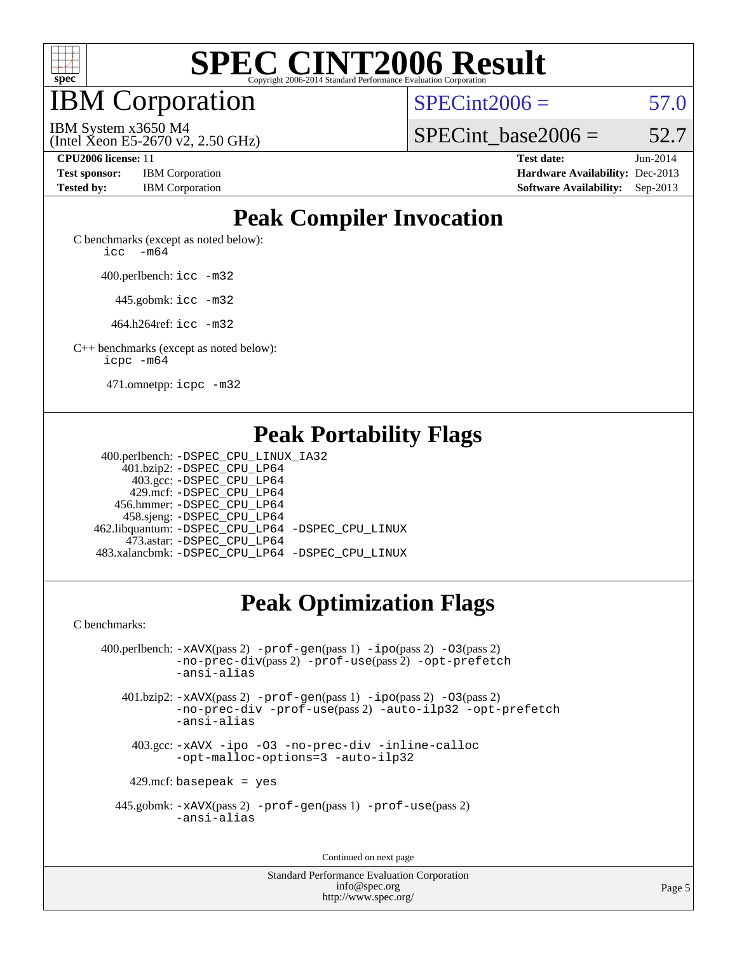

IBM Corporation

 $SPECint2006 = 57.0$  $SPECint2006 = 57.0$ 

(Intel Xeon E5-2670 v2, 2.50 GHz) IBM System x3650 M4

SPECint base2006 =  $52.7$ 

**[CPU2006 license:](http://www.spec.org/auto/cpu2006/Docs/result-fields.html#CPU2006license)** 11 **[Test date:](http://www.spec.org/auto/cpu2006/Docs/result-fields.html#Testdate)** Jun-2014 **[Test sponsor:](http://www.spec.org/auto/cpu2006/Docs/result-fields.html#Testsponsor)** IBM Corporation **[Hardware Availability:](http://www.spec.org/auto/cpu2006/Docs/result-fields.html#HardwareAvailability)** Dec-2013 **[Tested by:](http://www.spec.org/auto/cpu2006/Docs/result-fields.html#Testedby)** IBM Corporation **[Software Availability:](http://www.spec.org/auto/cpu2006/Docs/result-fields.html#SoftwareAvailability)** Sep-2013

# **[Peak Compiler Invocation](http://www.spec.org/auto/cpu2006/Docs/result-fields.html#PeakCompilerInvocation)**

[C benchmarks \(except as noted below\)](http://www.spec.org/auto/cpu2006/Docs/result-fields.html#Cbenchmarksexceptasnotedbelow): icc  $-m64$ 

400.perlbench: [icc -m32](http://www.spec.org/cpu2006/results/res2014q3/cpu2006-20140702-30294.flags.html#user_peakCCLD400_perlbench_intel_icc_a6a621f8d50482236b970c6ac5f55f93)

445.gobmk: [icc -m32](http://www.spec.org/cpu2006/results/res2014q3/cpu2006-20140702-30294.flags.html#user_peakCCLD445_gobmk_intel_icc_a6a621f8d50482236b970c6ac5f55f93)

464.h264ref: [icc -m32](http://www.spec.org/cpu2006/results/res2014q3/cpu2006-20140702-30294.flags.html#user_peakCCLD464_h264ref_intel_icc_a6a621f8d50482236b970c6ac5f55f93)

[C++ benchmarks \(except as noted below\):](http://www.spec.org/auto/cpu2006/Docs/result-fields.html#CXXbenchmarksexceptasnotedbelow) [icpc -m64](http://www.spec.org/cpu2006/results/res2014q3/cpu2006-20140702-30294.flags.html#user_CXXpeak_intel_icpc_64bit_fc66a5337ce925472a5c54ad6a0de310)

471.omnetpp: [icpc -m32](http://www.spec.org/cpu2006/results/res2014q3/cpu2006-20140702-30294.flags.html#user_peakCXXLD471_omnetpp_intel_icpc_4e5a5ef1a53fd332b3c49e69c3330699)

## **[Peak Portability Flags](http://www.spec.org/auto/cpu2006/Docs/result-fields.html#PeakPortabilityFlags)**

 400.perlbench: [-DSPEC\\_CPU\\_LINUX\\_IA32](http://www.spec.org/cpu2006/results/res2014q3/cpu2006-20140702-30294.flags.html#b400.perlbench_peakCPORTABILITY_DSPEC_CPU_LINUX_IA32) 401.bzip2: [-DSPEC\\_CPU\\_LP64](http://www.spec.org/cpu2006/results/res2014q3/cpu2006-20140702-30294.flags.html#suite_peakPORTABILITY401_bzip2_DSPEC_CPU_LP64) 403.gcc: [-DSPEC\\_CPU\\_LP64](http://www.spec.org/cpu2006/results/res2014q3/cpu2006-20140702-30294.flags.html#suite_peakPORTABILITY403_gcc_DSPEC_CPU_LP64) 429.mcf: [-DSPEC\\_CPU\\_LP64](http://www.spec.org/cpu2006/results/res2014q3/cpu2006-20140702-30294.flags.html#suite_peakPORTABILITY429_mcf_DSPEC_CPU_LP64) 456.hmmer: [-DSPEC\\_CPU\\_LP64](http://www.spec.org/cpu2006/results/res2014q3/cpu2006-20140702-30294.flags.html#suite_peakPORTABILITY456_hmmer_DSPEC_CPU_LP64) 458.sjeng: [-DSPEC\\_CPU\\_LP64](http://www.spec.org/cpu2006/results/res2014q3/cpu2006-20140702-30294.flags.html#suite_peakPORTABILITY458_sjeng_DSPEC_CPU_LP64) 462.libquantum: [-DSPEC\\_CPU\\_LP64](http://www.spec.org/cpu2006/results/res2014q3/cpu2006-20140702-30294.flags.html#suite_peakPORTABILITY462_libquantum_DSPEC_CPU_LP64) [-DSPEC\\_CPU\\_LINUX](http://www.spec.org/cpu2006/results/res2014q3/cpu2006-20140702-30294.flags.html#b462.libquantum_peakCPORTABILITY_DSPEC_CPU_LINUX) 473.astar: [-DSPEC\\_CPU\\_LP64](http://www.spec.org/cpu2006/results/res2014q3/cpu2006-20140702-30294.flags.html#suite_peakPORTABILITY473_astar_DSPEC_CPU_LP64) 483.xalancbmk: [-DSPEC\\_CPU\\_LP64](http://www.spec.org/cpu2006/results/res2014q3/cpu2006-20140702-30294.flags.html#suite_peakPORTABILITY483_xalancbmk_DSPEC_CPU_LP64) [-DSPEC\\_CPU\\_LINUX](http://www.spec.org/cpu2006/results/res2014q3/cpu2006-20140702-30294.flags.html#b483.xalancbmk_peakCXXPORTABILITY_DSPEC_CPU_LINUX)

# **[Peak Optimization Flags](http://www.spec.org/auto/cpu2006/Docs/result-fields.html#PeakOptimizationFlags)**

[C benchmarks](http://www.spec.org/auto/cpu2006/Docs/result-fields.html#Cbenchmarks):

 400.perlbench: [-xAVX](http://www.spec.org/cpu2006/results/res2014q3/cpu2006-20140702-30294.flags.html#user_peakPASS2_CFLAGSPASS2_LDCFLAGS400_perlbench_f-xAVX)(pass 2) [-prof-gen](http://www.spec.org/cpu2006/results/res2014q3/cpu2006-20140702-30294.flags.html#user_peakPASS1_CFLAGSPASS1_LDCFLAGS400_perlbench_prof_gen_e43856698f6ca7b7e442dfd80e94a8fc)(pass 1) [-ipo](http://www.spec.org/cpu2006/results/res2014q3/cpu2006-20140702-30294.flags.html#user_peakPASS2_CFLAGSPASS2_LDCFLAGS400_perlbench_f-ipo)(pass 2) [-O3](http://www.spec.org/cpu2006/results/res2014q3/cpu2006-20140702-30294.flags.html#user_peakPASS2_CFLAGSPASS2_LDCFLAGS400_perlbench_f-O3)(pass 2) [-no-prec-div](http://www.spec.org/cpu2006/results/res2014q3/cpu2006-20140702-30294.flags.html#user_peakPASS2_CFLAGSPASS2_LDCFLAGS400_perlbench_f-no-prec-div)(pass 2) [-prof-use](http://www.spec.org/cpu2006/results/res2014q3/cpu2006-20140702-30294.flags.html#user_peakPASS2_CFLAGSPASS2_LDCFLAGS400_perlbench_prof_use_bccf7792157ff70d64e32fe3e1250b55)(pass 2) [-opt-prefetch](http://www.spec.org/cpu2006/results/res2014q3/cpu2006-20140702-30294.flags.html#user_peakCOPTIMIZE400_perlbench_f-opt-prefetch) [-ansi-alias](http://www.spec.org/cpu2006/results/res2014q3/cpu2006-20140702-30294.flags.html#user_peakCOPTIMIZE400_perlbench_f-ansi-alias) 401.bzip2: [-xAVX](http://www.spec.org/cpu2006/results/res2014q3/cpu2006-20140702-30294.flags.html#user_peakPASS2_CFLAGSPASS2_LDCFLAGS401_bzip2_f-xAVX)(pass 2) [-prof-gen](http://www.spec.org/cpu2006/results/res2014q3/cpu2006-20140702-30294.flags.html#user_peakPASS1_CFLAGSPASS1_LDCFLAGS401_bzip2_prof_gen_e43856698f6ca7b7e442dfd80e94a8fc)(pass 1) [-ipo](http://www.spec.org/cpu2006/results/res2014q3/cpu2006-20140702-30294.flags.html#user_peakPASS2_CFLAGSPASS2_LDCFLAGS401_bzip2_f-ipo)(pass 2) [-O3](http://www.spec.org/cpu2006/results/res2014q3/cpu2006-20140702-30294.flags.html#user_peakPASS2_CFLAGSPASS2_LDCFLAGS401_bzip2_f-O3)(pass 2) [-no-prec-div](http://www.spec.org/cpu2006/results/res2014q3/cpu2006-20140702-30294.flags.html#user_peakCOPTIMIZEPASS2_CFLAGSPASS2_LDCFLAGS401_bzip2_f-no-prec-div) [-prof-use](http://www.spec.org/cpu2006/results/res2014q3/cpu2006-20140702-30294.flags.html#user_peakPASS2_CFLAGSPASS2_LDCFLAGS401_bzip2_prof_use_bccf7792157ff70d64e32fe3e1250b55)(pass 2) [-auto-ilp32](http://www.spec.org/cpu2006/results/res2014q3/cpu2006-20140702-30294.flags.html#user_peakCOPTIMIZE401_bzip2_f-auto-ilp32) [-opt-prefetch](http://www.spec.org/cpu2006/results/res2014q3/cpu2006-20140702-30294.flags.html#user_peakCOPTIMIZE401_bzip2_f-opt-prefetch) [-ansi-alias](http://www.spec.org/cpu2006/results/res2014q3/cpu2006-20140702-30294.flags.html#user_peakCOPTIMIZE401_bzip2_f-ansi-alias) 403.gcc: [-xAVX](http://www.spec.org/cpu2006/results/res2014q3/cpu2006-20140702-30294.flags.html#user_peakCOPTIMIZE403_gcc_f-xAVX) [-ipo](http://www.spec.org/cpu2006/results/res2014q3/cpu2006-20140702-30294.flags.html#user_peakCOPTIMIZE403_gcc_f-ipo) [-O3](http://www.spec.org/cpu2006/results/res2014q3/cpu2006-20140702-30294.flags.html#user_peakCOPTIMIZE403_gcc_f-O3) [-no-prec-div](http://www.spec.org/cpu2006/results/res2014q3/cpu2006-20140702-30294.flags.html#user_peakCOPTIMIZE403_gcc_f-no-prec-div) [-inline-calloc](http://www.spec.org/cpu2006/results/res2014q3/cpu2006-20140702-30294.flags.html#user_peakCOPTIMIZE403_gcc_f-inline-calloc)

[-opt-malloc-options=3](http://www.spec.org/cpu2006/results/res2014q3/cpu2006-20140702-30294.flags.html#user_peakCOPTIMIZE403_gcc_f-opt-malloc-options_13ab9b803cf986b4ee62f0a5998c2238) [-auto-ilp32](http://www.spec.org/cpu2006/results/res2014q3/cpu2006-20140702-30294.flags.html#user_peakCOPTIMIZE403_gcc_f-auto-ilp32)

 $429$ .mcf: basepeak = yes

 445.gobmk: [-xAVX](http://www.spec.org/cpu2006/results/res2014q3/cpu2006-20140702-30294.flags.html#user_peakPASS2_CFLAGSPASS2_LDCFLAGS445_gobmk_f-xAVX)(pass 2) [-prof-gen](http://www.spec.org/cpu2006/results/res2014q3/cpu2006-20140702-30294.flags.html#user_peakPASS1_CFLAGSPASS1_LDCFLAGS445_gobmk_prof_gen_e43856698f6ca7b7e442dfd80e94a8fc)(pass 1) [-prof-use](http://www.spec.org/cpu2006/results/res2014q3/cpu2006-20140702-30294.flags.html#user_peakPASS2_CFLAGSPASS2_LDCFLAGS445_gobmk_prof_use_bccf7792157ff70d64e32fe3e1250b55)(pass 2) [-ansi-alias](http://www.spec.org/cpu2006/results/res2014q3/cpu2006-20140702-30294.flags.html#user_peakCOPTIMIZE445_gobmk_f-ansi-alias)

Continued on next page

Standard Performance Evaluation Corporation [info@spec.org](mailto:info@spec.org) <http://www.spec.org/>

Page 5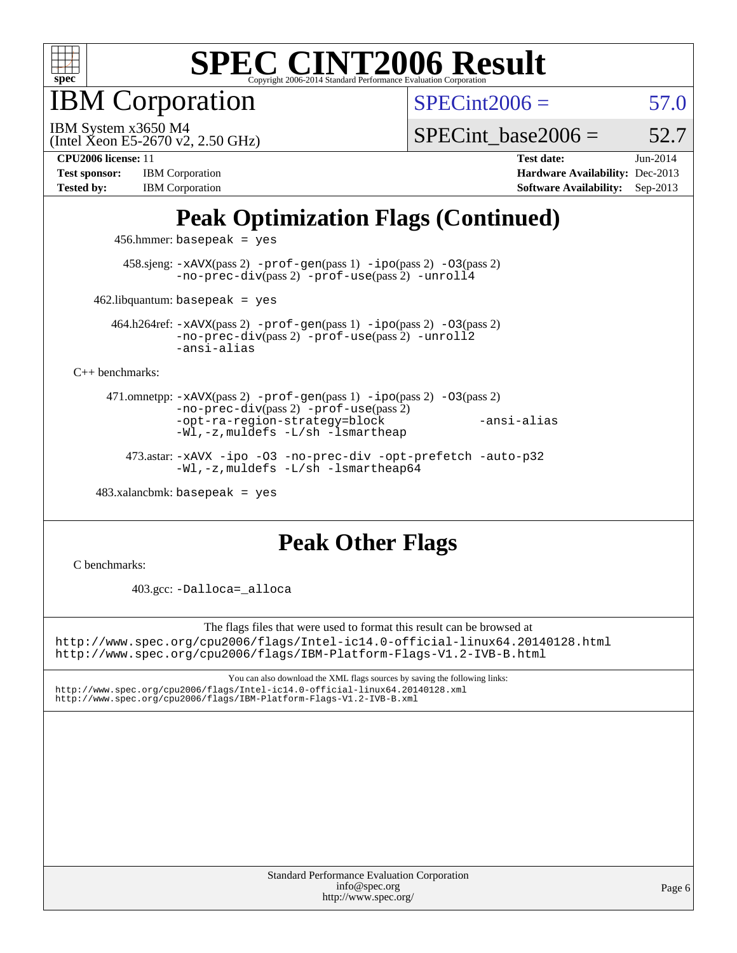

IBM Corporation

 $SPECint2006 = 57.0$  $SPECint2006 = 57.0$ 

(Intel Xeon E5-2670 v2, 2.50 GHz) IBM System x3650 M4

SPECint base2006 =  $52.7$ 

[Tested by:](http://www.spec.org/auto/cpu2006/Docs/result-fields.html#Testedby) IBM Corporation **[Software Availability:](http://www.spec.org/auto/cpu2006/Docs/result-fields.html#SoftwareAvailability)** Sep-2013

**[CPU2006 license:](http://www.spec.org/auto/cpu2006/Docs/result-fields.html#CPU2006license)** 11 **[Test date:](http://www.spec.org/auto/cpu2006/Docs/result-fields.html#Testdate)** Jun-2014 **[Test sponsor:](http://www.spec.org/auto/cpu2006/Docs/result-fields.html#Testsponsor)** IBM Corporation **[Hardware Availability:](http://www.spec.org/auto/cpu2006/Docs/result-fields.html#HardwareAvailability)** Dec-2013

# **[Peak Optimization Flags \(Continued\)](http://www.spec.org/auto/cpu2006/Docs/result-fields.html#PeakOptimizationFlags)**

456.hmmer: basepeak = yes

 458.sjeng: [-xAVX](http://www.spec.org/cpu2006/results/res2014q3/cpu2006-20140702-30294.flags.html#user_peakPASS2_CFLAGSPASS2_LDCFLAGS458_sjeng_f-xAVX)(pass 2) [-prof-gen](http://www.spec.org/cpu2006/results/res2014q3/cpu2006-20140702-30294.flags.html#user_peakPASS1_CFLAGSPASS1_LDCFLAGS458_sjeng_prof_gen_e43856698f6ca7b7e442dfd80e94a8fc)(pass 1) [-ipo](http://www.spec.org/cpu2006/results/res2014q3/cpu2006-20140702-30294.flags.html#user_peakPASS2_CFLAGSPASS2_LDCFLAGS458_sjeng_f-ipo)(pass 2) [-O3](http://www.spec.org/cpu2006/results/res2014q3/cpu2006-20140702-30294.flags.html#user_peakPASS2_CFLAGSPASS2_LDCFLAGS458_sjeng_f-O3)(pass 2) [-no-prec-div](http://www.spec.org/cpu2006/results/res2014q3/cpu2006-20140702-30294.flags.html#user_peakPASS2_CFLAGSPASS2_LDCFLAGS458_sjeng_f-no-prec-div)(pass 2) [-prof-use](http://www.spec.org/cpu2006/results/res2014q3/cpu2006-20140702-30294.flags.html#user_peakPASS2_CFLAGSPASS2_LDCFLAGS458_sjeng_prof_use_bccf7792157ff70d64e32fe3e1250b55)(pass 2) [-unroll4](http://www.spec.org/cpu2006/results/res2014q3/cpu2006-20140702-30294.flags.html#user_peakCOPTIMIZE458_sjeng_f-unroll_4e5e4ed65b7fd20bdcd365bec371b81f)

 $462$ .libquantum: basepeak = yes

 464.h264ref: [-xAVX](http://www.spec.org/cpu2006/results/res2014q3/cpu2006-20140702-30294.flags.html#user_peakPASS2_CFLAGSPASS2_LDCFLAGS464_h264ref_f-xAVX)(pass 2) [-prof-gen](http://www.spec.org/cpu2006/results/res2014q3/cpu2006-20140702-30294.flags.html#user_peakPASS1_CFLAGSPASS1_LDCFLAGS464_h264ref_prof_gen_e43856698f6ca7b7e442dfd80e94a8fc)(pass 1) [-ipo](http://www.spec.org/cpu2006/results/res2014q3/cpu2006-20140702-30294.flags.html#user_peakPASS2_CFLAGSPASS2_LDCFLAGS464_h264ref_f-ipo)(pass 2) [-O3](http://www.spec.org/cpu2006/results/res2014q3/cpu2006-20140702-30294.flags.html#user_peakPASS2_CFLAGSPASS2_LDCFLAGS464_h264ref_f-O3)(pass 2) [-no-prec-div](http://www.spec.org/cpu2006/results/res2014q3/cpu2006-20140702-30294.flags.html#user_peakPASS2_CFLAGSPASS2_LDCFLAGS464_h264ref_f-no-prec-div)(pass 2) [-prof-use](http://www.spec.org/cpu2006/results/res2014q3/cpu2006-20140702-30294.flags.html#user_peakPASS2_CFLAGSPASS2_LDCFLAGS464_h264ref_prof_use_bccf7792157ff70d64e32fe3e1250b55)(pass 2) [-unroll2](http://www.spec.org/cpu2006/results/res2014q3/cpu2006-20140702-30294.flags.html#user_peakCOPTIMIZE464_h264ref_f-unroll_784dae83bebfb236979b41d2422d7ec2) [-ansi-alias](http://www.spec.org/cpu2006/results/res2014q3/cpu2006-20140702-30294.flags.html#user_peakCOPTIMIZE464_h264ref_f-ansi-alias)

[C++ benchmarks:](http://www.spec.org/auto/cpu2006/Docs/result-fields.html#CXXbenchmarks)

 471.omnetpp: [-xAVX](http://www.spec.org/cpu2006/results/res2014q3/cpu2006-20140702-30294.flags.html#user_peakPASS2_CXXFLAGSPASS2_LDCXXFLAGS471_omnetpp_f-xAVX)(pass 2) [-prof-gen](http://www.spec.org/cpu2006/results/res2014q3/cpu2006-20140702-30294.flags.html#user_peakPASS1_CXXFLAGSPASS1_LDCXXFLAGS471_omnetpp_prof_gen_e43856698f6ca7b7e442dfd80e94a8fc)(pass 1) [-ipo](http://www.spec.org/cpu2006/results/res2014q3/cpu2006-20140702-30294.flags.html#user_peakPASS2_CXXFLAGSPASS2_LDCXXFLAGS471_omnetpp_f-ipo)(pass 2) [-O3](http://www.spec.org/cpu2006/results/res2014q3/cpu2006-20140702-30294.flags.html#user_peakPASS2_CXXFLAGSPASS2_LDCXXFLAGS471_omnetpp_f-O3)(pass 2) [-no-prec-div](http://www.spec.org/cpu2006/results/res2014q3/cpu2006-20140702-30294.flags.html#user_peakPASS2_CXXFLAGSPASS2_LDCXXFLAGS471_omnetpp_f-no-prec-div)(pass 2) [-prof-use](http://www.spec.org/cpu2006/results/res2014q3/cpu2006-20140702-30294.flags.html#user_peakPASS2_CXXFLAGSPASS2_LDCXXFLAGS471_omnetpp_prof_use_bccf7792157ff70d64e32fe3e1250b55)(pass 2) [-opt-ra-region-strategy=block](http://www.spec.org/cpu2006/results/res2014q3/cpu2006-20140702-30294.flags.html#user_peakCXXOPTIMIZE471_omnetpp_f-opt-ra-region-strategy_5382940c29ea30302d682fc74bfe0147) [-ansi-alias](http://www.spec.org/cpu2006/results/res2014q3/cpu2006-20140702-30294.flags.html#user_peakCXXOPTIMIZE471_omnetpp_f-ansi-alias) [-Wl,-z,muldefs](http://www.spec.org/cpu2006/results/res2014q3/cpu2006-20140702-30294.flags.html#user_peakEXTRA_LDFLAGS471_omnetpp_link_force_multiple1_74079c344b956b9658436fd1b6dd3a8a) [-L/sh -lsmartheap](http://www.spec.org/cpu2006/results/res2014q3/cpu2006-20140702-30294.flags.html#user_peakEXTRA_LIBS471_omnetpp_SmartHeap_32f6c82aa1ed9c52345d30cf6e4a0499)

 473.astar: [-xAVX](http://www.spec.org/cpu2006/results/res2014q3/cpu2006-20140702-30294.flags.html#user_peakCXXOPTIMIZE473_astar_f-xAVX) [-ipo](http://www.spec.org/cpu2006/results/res2014q3/cpu2006-20140702-30294.flags.html#user_peakCXXOPTIMIZE473_astar_f-ipo) [-O3](http://www.spec.org/cpu2006/results/res2014q3/cpu2006-20140702-30294.flags.html#user_peakCXXOPTIMIZE473_astar_f-O3) [-no-prec-div](http://www.spec.org/cpu2006/results/res2014q3/cpu2006-20140702-30294.flags.html#user_peakCXXOPTIMIZE473_astar_f-no-prec-div) [-opt-prefetch](http://www.spec.org/cpu2006/results/res2014q3/cpu2006-20140702-30294.flags.html#user_peakCXXOPTIMIZE473_astar_f-opt-prefetch) [-auto-p32](http://www.spec.org/cpu2006/results/res2014q3/cpu2006-20140702-30294.flags.html#user_peakCXXOPTIMIZE473_astar_f-auto-p32) [-Wl,-z,muldefs](http://www.spec.org/cpu2006/results/res2014q3/cpu2006-20140702-30294.flags.html#user_peakEXTRA_LDFLAGS473_astar_link_force_multiple1_74079c344b956b9658436fd1b6dd3a8a) [-L/sh -lsmartheap64](http://www.spec.org/cpu2006/results/res2014q3/cpu2006-20140702-30294.flags.html#user_peakEXTRA_LIBS473_astar_SmartHeap64_ed4ef857ce90951921efb0d91eb88472)

 $483.xalanchmk: basepeak = yes$ 

# **[Peak Other Flags](http://www.spec.org/auto/cpu2006/Docs/result-fields.html#PeakOtherFlags)**

[C benchmarks](http://www.spec.org/auto/cpu2006/Docs/result-fields.html#Cbenchmarks):

403.gcc: [-Dalloca=\\_alloca](http://www.spec.org/cpu2006/results/res2014q3/cpu2006-20140702-30294.flags.html#b403.gcc_peakEXTRA_CFLAGS_Dalloca_be3056838c12de2578596ca5467af7f3)

The flags files that were used to format this result can be browsed at <http://www.spec.org/cpu2006/flags/Intel-ic14.0-official-linux64.20140128.html> <http://www.spec.org/cpu2006/flags/IBM-Platform-Flags-V1.2-IVB-B.html>

You can also download the XML flags sources by saving the following links: <http://www.spec.org/cpu2006/flags/Intel-ic14.0-official-linux64.20140128.xml> <http://www.spec.org/cpu2006/flags/IBM-Platform-Flags-V1.2-IVB-B.xml>